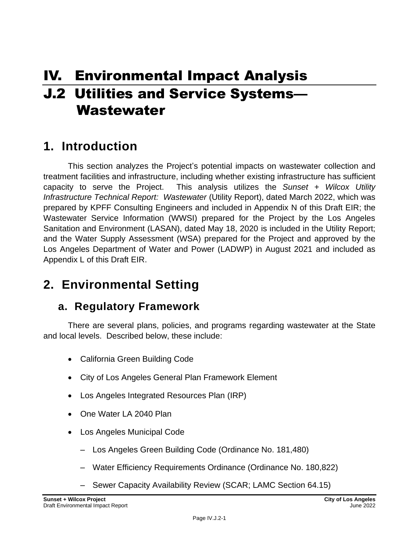# IV. Environmental Impact Analysis J.2 Utilities and Service Systems— Wastewater

# **1. Introduction**

This section analyzes the Project's potential impacts on wastewater collection and treatment facilities and infrastructure, including whether existing infrastructure has sufficient capacity to serve the Project. This analysis utilizes the *Sunset + Wilcox Utility Infrastructure Technical Report: Wastewater* (Utility Report), dated March 2022, which was prepared by KPFF Consulting Engineers and included in Appendix N of this Draft EIR; the Wastewater Service Information (WWSI) prepared for the Project by the Los Angeles Sanitation and Environment (LASAN), dated May 18, 2020 is included in the Utility Report; and the Water Supply Assessment (WSA) prepared for the Project and approved by the Los Angeles Department of Water and Power (LADWP) in August 2021 and included as Appendix L of this Draft EIR.

# **2. Environmental Setting**

# **a. Regulatory Framework**

There are several plans, policies, and programs regarding wastewater at the State and local levels. Described below, these include:

- California Green Building Code
- City of Los Angeles General Plan Framework Element
- Los Angeles Integrated Resources Plan (IRP)
- One Water LA 2040 Plan
- Los Angeles Municipal Code
	- Los Angeles Green Building Code (Ordinance No. 181,480)
	- Water Efficiency Requirements Ordinance (Ordinance No. 180,822)
	- Sewer Capacity Availability Review (SCAR; LAMC Section 64.15)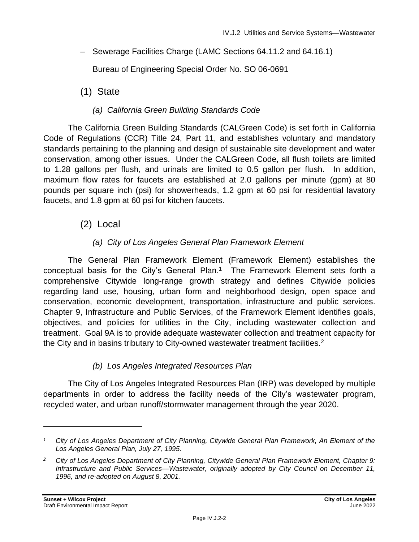- Sewerage Facilities Charge (LAMC Sections 64.11.2 and 64.16.1)
- Bureau of Engineering Special Order No. SO 06-0691

(1) State

### *(a) California Green Building Standards Code*

The California Green Building Standards (CALGreen Code) is set forth in California Code of Regulations (CCR) Title 24, Part 11, and establishes voluntary and mandatory standards pertaining to the planning and design of sustainable site development and water conservation, among other issues. Under the CALGreen Code, all flush toilets are limited to 1.28 gallons per flush, and urinals are limited to 0.5 gallon per flush. In addition, maximum flow rates for faucets are established at 2.0 gallons per minute (gpm) at 80 pounds per square inch (psi) for showerheads, 1.2 gpm at 60 psi for residential lavatory faucets, and 1.8 gpm at 60 psi for kitchen faucets.

(2) Local

### *(a) City of Los Angeles General Plan Framework Element*

The General Plan Framework Element (Framework Element) establishes the conceptual basis for the City's General Plan.<sup>1</sup> The Framework Element sets forth a comprehensive Citywide long-range growth strategy and defines Citywide policies regarding land use, housing, urban form and neighborhood design, open space and conservation, economic development, transportation, infrastructure and public services. Chapter 9, Infrastructure and Public Services, of the Framework Element identifies goals, objectives, and policies for utilities in the City, including wastewater collection and treatment. Goal 9A is to provide adequate wastewater collection and treatment capacity for the City and in basins tributary to City-owned wastewater treatment facilities.<sup>2</sup>

#### *(b) Los Angeles Integrated Resources Plan*

The City of Los Angeles Integrated Resources Plan (IRP) was developed by multiple departments in order to address the facility needs of the City's wastewater program, recycled water, and urban runoff/stormwater management through the year 2020.

*<sup>1</sup> City of Los Angeles Department of City Planning, Citywide General Plan Framework, An Element of the Los Angeles General Plan, July 27, 1995.*

*<sup>2</sup> City of Los Angeles Department of City Planning, Citywide General Plan Framework Element, Chapter 9: Infrastructure and Public Services—Wastewater, originally adopted by City Council on December 11, 1996, and re-adopted on August 8, 2001.*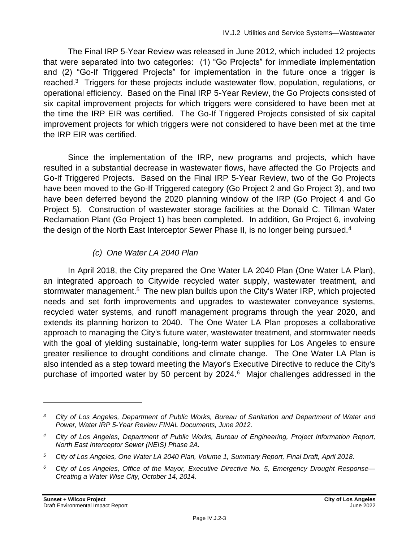The Final IRP 5-Year Review was released in June 2012, which included 12 projects that were separated into two categories: (1) "Go Projects" for immediate implementation and (2) "Go-If Triggered Projects" for implementation in the future once a trigger is reached.<sup>3</sup> Triggers for these projects include wastewater flow, population, regulations, or operational efficiency. Based on the Final IRP 5-Year Review, the Go Projects consisted of six capital improvement projects for which triggers were considered to have been met at the time the IRP EIR was certified. The Go-If Triggered Projects consisted of six capital improvement projects for which triggers were not considered to have been met at the time the IRP EIR was certified.

Since the implementation of the IRP, new programs and projects, which have resulted in a substantial decrease in wastewater flows, have affected the Go Projects and Go-If Triggered Projects. Based on the Final IRP 5-Year Review, two of the Go Projects have been moved to the Go-If Triggered category (Go Project 2 and Go Project 3), and two have been deferred beyond the 2020 planning window of the IRP (Go Project 4 and Go Project 5). Construction of wastewater storage facilities at the Donald C. Tillman Water Reclamation Plant (Go Project 1) has been completed. In addition, Go Project 6, involving the design of the North East Interceptor Sewer Phase II, is no longer being pursued.<sup>4</sup>

### *(c) One Water LA 2040 Plan*

In April 2018, the City prepared the One Water LA 2040 Plan (One Water LA Plan), an integrated approach to Citywide recycled water supply, wastewater treatment, and stormwater management.<sup>5</sup> The new plan builds upon the City's Water IRP, which projected needs and set forth improvements and upgrades to wastewater conveyance systems, recycled water systems, and runoff management programs through the year 2020, and extends its planning horizon to 2040. The One Water LA Plan proposes a collaborative approach to managing the City's future water, wastewater treatment, and stormwater needs with the goal of yielding sustainable, long-term water supplies for Los Angeles to ensure greater resilience to drought conditions and climate change. The One Water LA Plan is also intended as a step toward meeting the Mayor's Executive Directive to reduce the City's purchase of imported water by 50 percent by 2024.<sup>6</sup> Major challenges addressed in the

*<sup>3</sup> City of Los Angeles, Department of Public Works, Bureau of Sanitation and Department of Water and Power, Water IRP 5-Year Review FINAL Documents, June 2012.*

*<sup>4</sup> City of Los Angeles, Department of Public Works, Bureau of Engineering, Project Information Report, North East Interceptor Sewer (NEIS) Phase 2A.*

*<sup>5</sup> City of Los Angeles, One Water LA 2040 Plan, Volume 1, Summary Report, Final Draft, April 2018.*

*<sup>6</sup> City of Los Angeles, Office of the Mayor, Executive Directive No. 5, Emergency Drought Response— Creating a Water Wise City, October 14, 2014.*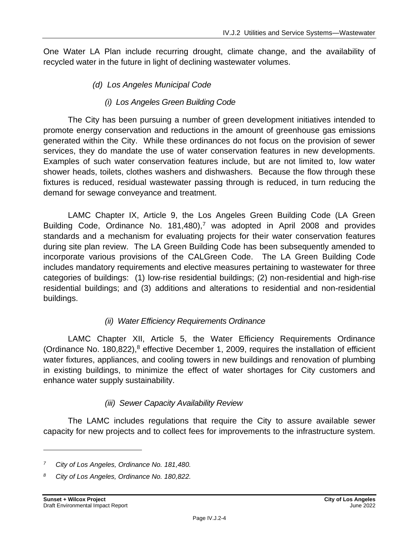One Water LA Plan include recurring drought, climate change, and the availability of recycled water in the future in light of declining wastewater volumes.

### *(d) Los Angeles Municipal Code*

### *(i) Los Angeles Green Building Code*

The City has been pursuing a number of green development initiatives intended to promote energy conservation and reductions in the amount of greenhouse gas emissions generated within the City. While these ordinances do not focus on the provision of sewer services, they do mandate the use of water conservation features in new developments. Examples of such water conservation features include, but are not limited to, low water shower heads, toilets, clothes washers and dishwashers. Because the flow through these fixtures is reduced, residual wastewater passing through is reduced, in turn reducing the demand for sewage conveyance and treatment.

LAMC Chapter IX, Article 9, the Los Angeles Green Building Code (LA Green Building Code, Ordinance No.  $181,480$ ,<sup>7</sup> was adopted in April 2008 and provides standards and a mechanism for evaluating projects for their water conservation features during site plan review. The LA Green Building Code has been subsequently amended to incorporate various provisions of the CALGreen Code. The LA Green Building Code includes mandatory requirements and elective measures pertaining to wastewater for three categories of buildings: (1) low-rise residential buildings; (2) non-residential and high-rise residential buildings; and (3) additions and alterations to residential and non-residential buildings.

### *(ii) Water Efficiency Requirements Ordinance*

LAMC Chapter XII, Article 5, the Water Efficiency Requirements Ordinance (Ordinance No. 180,822), $8$  effective December 1, 2009, requires the installation of efficient water fixtures, appliances, and cooling towers in new buildings and renovation of plumbing in existing buildings, to minimize the effect of water shortages for City customers and enhance water supply sustainability.

### *(iii) Sewer Capacity Availability Review*

The LAMC includes regulations that require the City to assure available sewer capacity for new projects and to collect fees for improvements to the infrastructure system.

*<sup>7</sup> City of Los Angeles, Ordinance No. 181,480.*

*<sup>8</sup> City of Los Angeles, Ordinance No. 180,822.*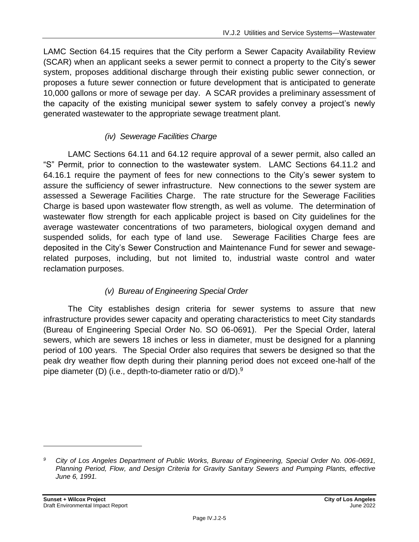LAMC Section 64.15 requires that the City perform a Sewer Capacity Availability Review (SCAR) when an applicant seeks a sewer permit to connect a property to the City's sewer system, proposes additional discharge through their existing public sewer connection, or proposes a future sewer connection or future development that is anticipated to generate 10,000 gallons or more of sewage per day. A SCAR provides a preliminary assessment of the capacity of the existing municipal sewer system to safely convey a project's newly generated wastewater to the appropriate sewage treatment plant.

### *(iv) Sewerage Facilities Charge*

LAMC Sections 64.11 and 64.12 require approval of a sewer permit, also called an "S" Permit, prior to connection to the wastewater system. LAMC Sections 64.11.2 and 64.16.1 require the payment of fees for new connections to the City's sewer system to assure the sufficiency of sewer infrastructure. New connections to the sewer system are assessed a Sewerage Facilities Charge. The rate structure for the Sewerage Facilities Charge is based upon wastewater flow strength, as well as volume. The determination of wastewater flow strength for each applicable project is based on City guidelines for the average wastewater concentrations of two parameters, biological oxygen demand and suspended solids, for each type of land use. Sewerage Facilities Charge fees are deposited in the City's Sewer Construction and Maintenance Fund for sewer and sewagerelated purposes, including, but not limited to, industrial waste control and water reclamation purposes.

### *(v) Bureau of Engineering Special Order*

The City establishes design criteria for sewer systems to assure that new infrastructure provides sewer capacity and operating characteristics to meet City standards (Bureau of Engineering Special Order No. SO 06-0691). Per the Special Order, lateral sewers, which are sewers 18 inches or less in diameter, must be designed for a planning period of 100 years. The Special Order also requires that sewers be designed so that the peak dry weather flow depth during their planning period does not exceed one-half of the pipe diameter (D) (i.e., depth-to-diameter ratio or d/D).<sup>9</sup>

*<sup>9</sup> City of Los Angeles Department of Public Works, Bureau of Engineering, Special Order No. 006-0691, Planning Period, Flow, and Design Criteria for Gravity Sanitary Sewers and Pumping Plants, effective June 6, 1991.*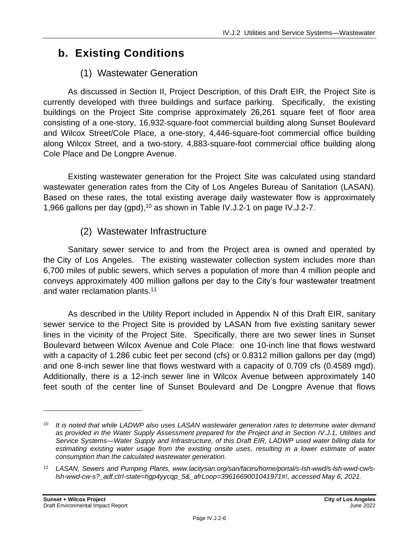# **b. Existing Conditions**

# (1) Wastewater Generation

As discussed in Section II, Project Description, of this Draft EIR, the Project Site is currently developed with three buildings and surface parking. Specifically, the existing buildings on the Project Site comprise approximately 26,261 square feet of floor area consisting of a one-story, 16,932-square-foot commercial building along Sunset Boulevard and Wilcox Street/Cole Place, a one-story, 4,446-square-foot commercial office building along Wilcox Street, and a two-story, 4,883-square-foot commercial office building along Cole Place and De Longpre Avenue.

Existing wastewater generation for the Project Site was calculated using standard wastewater generation rates from the City of Los Angeles Bureau of Sanitation (LASAN). Based on these rates, the total existing average daily wastewater flow is approximately 1,966 gallons per day (gpd),<sup>10</sup> as shown in Table IV.J.2-1 on page IV.J.2-7.

# (2) Wastewater Infrastructure

Sanitary sewer service to and from the Project area is owned and operated by the City of Los Angeles. The existing wastewater collection system includes more than 6,700 miles of public sewers, which serves a population of more than 4 million people and conveys approximately 400 million gallons per day to the City's four wastewater treatment and water reclamation plants.<sup>11</sup>

As described in the Utility Report included in Appendix N of this Draft EIR, sanitary sewer service to the Project Site is provided by LASAN from five existing sanitary sewer lines in the vicinity of the Project Site. Specifically, there are two sewer lines in Sunset Boulevard between Wilcox Avenue and Cole Place: one 10-inch line that flows westward with a capacity of 1.286 cubic feet per second (cfs) or 0.8312 million gallons per day (mgd) and one 8-inch sewer line that flows westward with a capacity of 0.709 cfs (0.4589 mgd). Additionally, there is a 12-inch sewer line in Wilcox Avenue between approximately 140 feet south of the center line of Sunset Boulevard and De Longpre Avenue that flows

*<sup>10</sup> It is noted that while LADWP also uses LASAN wastewater generation rates to determine water demand as provided in the Water Supply Assessment prepared for the Project and in Section IV.J.1, Utilities and Service Systems—Water Supply and Infrastructure, of this Draft EIR, LADWP used water billing data for estimating existing water usage from the existing onsite uses, resulting in a lower estimate of water consumption than the calculated wastewater generation.*

*<sup>11</sup> LASAN, Sewers and Pumping Plants, www.lacitysan.org/san/faces/home/portal/s-lsh-wwd/s-lsh-wwd-cw/slsh-wwd-cw-s?\_adf.ctrl-state=hgp4yycqp\_5&\_afrLoop=3961669001041971#!, accessed May 6, 2021.*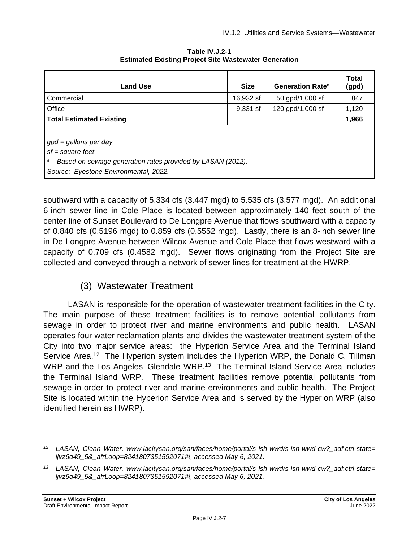| <b>Land Use</b>                                                                                                                                           | <b>Size</b> | Generation Rate <sup>a</sup> | Total<br>(gpd) |
|-----------------------------------------------------------------------------------------------------------------------------------------------------------|-------------|------------------------------|----------------|
| Commercial                                                                                                                                                | 16,932 sf   | 50 gpd/1,000 sf              | 847            |
| Office                                                                                                                                                    | 9,331 sf    | 120 gpd/1,000 sf             | 1,120          |
| <b>Total Estimated Existing</b>                                                                                                                           |             |                              | 1,966          |
| $gpd = gallons per day$<br>$sf = square feet$<br>Based on sewage generation rates provided by LASAN (2012).<br>а<br>Source: Eyestone Environmental, 2022. |             |                              |                |

**Table IV.J.2-1 Estimated Existing Project Site Wastewater Generation**

southward with a capacity of 5.334 cfs (3.447 mgd) to 5.535 cfs (3.577 mgd). An additional 6-inch sewer line in Cole Place is located between approximately 140 feet south of the center line of Sunset Boulevard to De Longpre Avenue that flows southward with a capacity of 0.840 cfs (0.5196 mgd) to 0.859 cfs (0.5552 mgd). Lastly, there is an 8-inch sewer line in De Longpre Avenue between Wilcox Avenue and Cole Place that flows westward with a capacity of 0.709 cfs (0.4582 mgd). Sewer flows originating from the Project Site are collected and conveyed through a network of sewer lines for treatment at the HWRP.

# (3) Wastewater Treatment

LASAN is responsible for the operation of wastewater treatment facilities in the City. The main purpose of these treatment facilities is to remove potential pollutants from sewage in order to protect river and marine environments and public health. LASAN operates four water reclamation plants and divides the wastewater treatment system of the City into two major service areas: the Hyperion Service Area and the Terminal Island Service Area.<sup>12</sup> The Hyperion system includes the Hyperion WRP, the Donald C. Tillman WRP and the Los Angeles–Glendale WRP.<sup>13</sup> The Terminal Island Service Area includes the Terminal Island WRP. These treatment facilities remove potential pollutants from sewage in order to protect river and marine environments and public health. The Project Site is located within the Hyperion Service Area and is served by the Hyperion WRP (also identified herein as HWRP).

*<sup>12</sup> LASAN, Clean Water, www.lacitysan.org/san/faces/home/portal/s-lsh-wwd/s-lsh-wwd-cw?\_adf.ctrl-state= ljvz6q49\_5&\_afrLoop=8241807351592071#!, accessed May 6, 2021.*

*<sup>13</sup> LASAN, Clean Water, www.lacitysan.org/san/faces/home/portal/s-lsh-wwd/s-lsh-wwd-cw?\_adf.ctrl-state= ljvz6q49\_5&\_afrLoop=8241807351592071#!, accessed May 6, 2021.*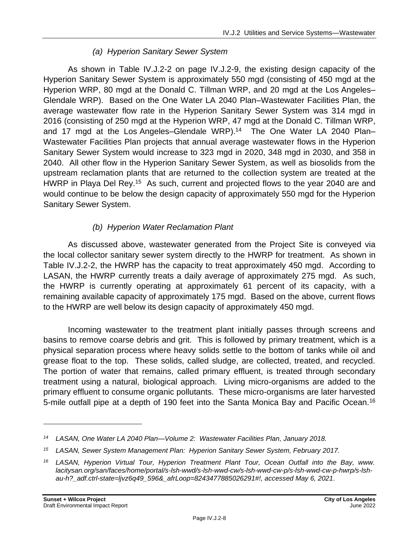### *(a) Hyperion Sanitary Sewer System*

As shown in Table IV.J.2-2 on page [IV.J.2-9,](#page-8-0) the existing design capacity of the Hyperion Sanitary Sewer System is approximately 550 mgd (consisting of 450 mgd at the Hyperion WRP, 80 mgd at the Donald C. Tillman WRP, and 20 mgd at the Los Angeles– Glendale WRP). Based on the One Water LA 2040 Plan–Wastewater Facilities Plan, the average wastewater flow rate in the Hyperion Sanitary Sewer System was 314 mgd in 2016 (consisting of 250 mgd at the Hyperion WRP, 47 mgd at the Donald C. Tillman WRP, and 17 mgd at the Los Angeles–Glendale WRP).<sup>14</sup> The One Water LA 2040 Plan– Wastewater Facilities Plan projects that annual average wastewater flows in the Hyperion Sanitary Sewer System would increase to 323 mgd in 2020, 348 mgd in 2030, and 358 in 2040. All other flow in the Hyperion Sanitary Sewer System, as well as biosolids from the upstream reclamation plants that are returned to the collection system are treated at the HWRP in Playa Del Rey.<sup>15</sup> As such, current and projected flows to the year 2040 are and would continue to be below the design capacity of approximately 550 mgd for the Hyperion Sanitary Sewer System.

### *(b) Hyperion Water Reclamation Plant*

As discussed above, wastewater generated from the Project Site is conveyed via the local collector sanitary sewer system directly to the HWRP for treatment. As shown in Table IV.J.2-2, the HWRP has the capacity to treat approximately 450 mgd. According to LASAN, the HWRP currently treats a daily average of approximately 275 mgd. As such, the HWRP is currently operating at approximately 61 percent of its capacity, with a remaining available capacity of approximately 175 mgd. Based on the above, current flows to the HWRP are well below its design capacity of approximately 450 mgd.

Incoming wastewater to the treatment plant initially passes through screens and basins to remove coarse debris and grit. This is followed by primary treatment, which is a physical separation process where heavy solids settle to the bottom of tanks while oil and grease float to the top. These solids, called sludge, are collected, treated, and recycled. The portion of water that remains, called primary effluent, is treated through secondary treatment using a natural, biological approach. Living micro-organisms are added to the primary effluent to consume organic pollutants. These micro-organisms are later harvested 5-mile outfall pipe at a depth of 190 feet into the Santa Monica Bay and Pacific Ocean.<sup>16</sup>

*<sup>14</sup> LASAN, One Water LA 2040 Plan—Volume 2: Wastewater Facilities Plan, January 2018.*

*<sup>15</sup> LASAN, Sewer System Management Plan: Hyperion Sanitary Sewer System, February 2017.*

*<sup>16</sup> LASAN, Hyperion Virtual Tour, Hyperion Treatment Plant Tour, Ocean Outfall into the Bay, www. lacitysan.org/san/faces/home/portal/s-lsh-wwd/s-lsh-wwd-cw/s-lsh-wwd-cw-p/s-lsh-wwd-cw-p-hwrp/s-lshau-h?\_adf.ctrl-state=ljvz6q49\_596&\_afrLoop=8243477885026291#!, accessed May 6, 2021.*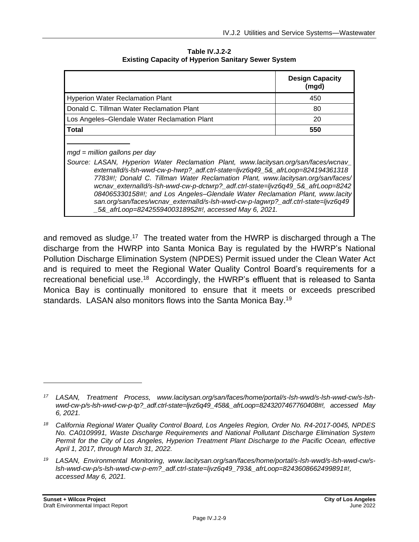|                                                                                                                                                                                                                                                                                                                                                                                                                                                                                                                                                                                                              | <b>Design Capacity</b><br>(mgd) |
|--------------------------------------------------------------------------------------------------------------------------------------------------------------------------------------------------------------------------------------------------------------------------------------------------------------------------------------------------------------------------------------------------------------------------------------------------------------------------------------------------------------------------------------------------------------------------------------------------------------|---------------------------------|
| <b>Hyperion Water Reclamation Plant</b>                                                                                                                                                                                                                                                                                                                                                                                                                                                                                                                                                                      | 450                             |
| Donald C. Tillman Water Reclamation Plant                                                                                                                                                                                                                                                                                                                                                                                                                                                                                                                                                                    | 80                              |
| Los Angeles-Glendale Water Reclamation Plant                                                                                                                                                                                                                                                                                                                                                                                                                                                                                                                                                                 | 20                              |
| Total                                                                                                                                                                                                                                                                                                                                                                                                                                                                                                                                                                                                        | 550                             |
| $mgd =$ million gallons per day<br>Source: LASAN, Hyperion Water Reclamation Plant, www.lacitysan.org/san/faces/wcnav_<br>externalId/s-Ish-wwd-cw-p-hwrp?_adf.ctrl-state=ljvz6q49_5&_afrLoop=824194361318<br>7783#!; Donald C. Tillman Water Reclamation Plant, www.lacitysan.org/san/faces/<br>wcnav_externalId/s-lsh-wwd-cw-p-dctwrp?_adf.ctrl-state=ljvz6q49_5&_afrLoop=8242<br>084065330158#!; and Los Angeles–Glendale Water Reclamation Plant, www.lacity<br>san.org/san/faces/wcnav_externalId/s-lsh-wwd-cw-p-lagwrp?_adf.ctrl-state=ljvz6q49<br>5& afrLoop=8242559400318952#!, accessed May 6, 2021. |                                 |

<span id="page-8-0"></span>**Table IV.J.2-2 Existing Capacity of Hyperion Sanitary Sewer System**

and removed as sludge.<sup>17</sup> The treated water from the HWRP is discharged through a The discharge from the HWRP into Santa Monica Bay is regulated by the HWRP's National Pollution Discharge Elimination System (NPDES) Permit issued under the Clean Water Act and is required to meet the Regional Water Quality Control Board's requirements for a recreational beneficial use.<sup>18</sup> Accordingly, the HWRP's effluent that is released to Santa Monica Bay is continually monitored to ensure that it meets or exceeds prescribed standards. LASAN also monitors flows into the Santa Monica Bay.<sup>19</sup>

*<sup>17</sup> LASAN, Treatment Process, www.lacitysan.org/san/faces/home/portal/s-lsh-wwd/s-lsh-wwd-cw/s-lshwwd-cw-p/s-lsh-wwd-cw-p-tp?\_adf.ctrl-state=ljvz6q49\_458&\_afrLoop=8243207467760408#!, accessed May 6, 2021.*

*<sup>18</sup> California Regional Water Quality Control Board, Los Angeles Region, Order No. R4-2017-0045, NPDES No. CA0109991, Waste Discharge Requirements and National Pollutant Discharge Elimination System Permit for the City of Los Angeles, Hyperion Treatment Plant Discharge to the Pacific Ocean, effective April 1, 2017, through March 31, 2022.*

*<sup>19</sup> LASAN, Environmental Monitoring, www.lacitysan.org/san/faces/home/portal/s-lsh-wwd/s-lsh-wwd-cw/slsh-wwd-cw-p/s-lsh-wwd-cw-p-em?\_adf.ctrl-state=ljvz6q49\_793&\_afrLoop=8243608662499891#!, accessed May 6, 2021.*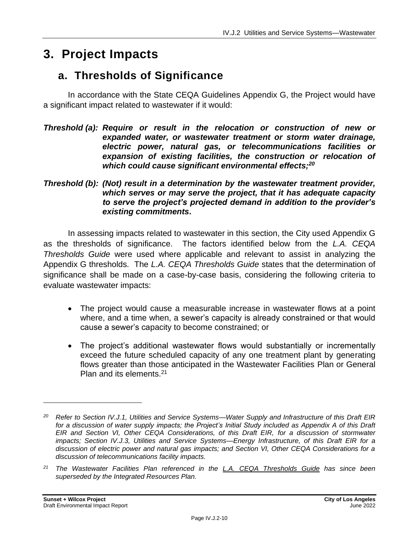# **3. Project Impacts**

# **a. Thresholds of Significance**

In accordance with the State CEQA Guidelines Appendix G, the Project would have a significant impact related to wastewater if it would:

- *Threshold (a): Require or result in the relocation or construction of new or expanded water, or wastewater treatment or storm water drainage, electric power, natural gas, or telecommunications facilities or expansion of existing facilities, the construction or relocation of which could cause significant environmental effects;<sup>20</sup>*
- *Threshold (b): (Not) result in a determination by the wastewater treatment provider, which serves or may serve the project, that it has adequate capacity to serve the project's projected demand in addition to the provider's existing commitments***.**

In assessing impacts related to wastewater in this section, the City used Appendix G as the thresholds of significance. The factors identified below from the *L.A. CEQA Thresholds Guide* were used where applicable and relevant to assist in analyzing the Appendix G thresholds. The *L.A. CEQA Thresholds Guide* states that the determination of significance shall be made on a case-by-case basis, considering the following criteria to evaluate wastewater impacts:

- The project would cause a measurable increase in wastewater flows at a point where, and a time when, a sewer's capacity is already constrained or that would cause a sewer's capacity to become constrained; or
- The project's additional wastewater flows would substantially or incrementally exceed the future scheduled capacity of any one treatment plant by generating flows greater than those anticipated in the Wastewater Facilities Plan or General Plan and its elements.<sup>21</sup>

*<sup>20</sup> Refer to Section IV.J.1, Utilities and Service Systems—Water Supply and Infrastructure of this Draft EIR for a discussion of water supply impacts; the Project's Initial Study included as Appendix A of this Draft EIR and Section VI, Other CEQA Considerations, of this Draft EIR, for a discussion of stormwater impacts; Section IV.J.3, Utilities and Service Systems—Energy Infrastructure, of this Draft EIR for a discussion of electric power and natural gas impacts; and Section VI, Other CEQA Considerations for a discussion of telecommunications facility impacts.*

*<sup>21</sup> The Wastewater Facilities Plan referenced in the L.A. CEQA Thresholds Guide has since been superseded by the Integrated Resources Plan.*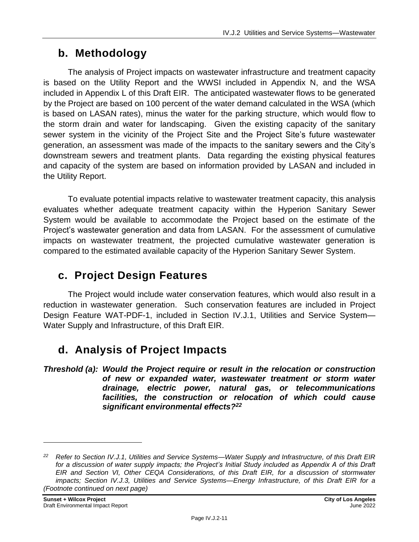# **b. Methodology**

The analysis of Project impacts on wastewater infrastructure and treatment capacity is based on the Utility Report and the WWSI included in Appendix N, and the WSA included in Appendix L of this Draft EIR. The anticipated wastewater flows to be generated by the Project are based on 100 percent of the water demand calculated in the WSA (which is based on LASAN rates), minus the water for the parking structure, which would flow to the storm drain and water for landscaping. Given the existing capacity of the sanitary sewer system in the vicinity of the Project Site and the Project Site's future wastewater generation, an assessment was made of the impacts to the sanitary sewers and the City's downstream sewers and treatment plants. Data regarding the existing physical features and capacity of the system are based on information provided by LASAN and included in the Utility Report.

To evaluate potential impacts relative to wastewater treatment capacity, this analysis evaluates whether adequate treatment capacity within the Hyperion Sanitary Sewer System would be available to accommodate the Project based on the estimate of the Project's wastewater generation and data from LASAN. For the assessment of cumulative impacts on wastewater treatment, the projected cumulative wastewater generation is compared to the estimated available capacity of the Hyperion Sanitary Sewer System.

# **c. Project Design Features**

The Project would include water conservation features, which would also result in a reduction in wastewater generation. Such conservation features are included in Project Design Feature WAT-PDF-1, included in Section IV.J.1, Utilities and Service System— Water Supply and Infrastructure, of this Draft EIR.

# **d. Analysis of Project Impacts**

*Threshold (a): Would the Project require or result in the relocation or construction of new or expanded water, wastewater treatment or storm water drainage, electric power, natural gas, or telecommunications facilities, the construction or relocation of which could cause significant environmental effects?<sup>22</sup>*

*<sup>22</sup> Refer to Section IV.J.1, Utilities and Service Systems—Water Supply and Infrastructure, of this Draft EIR for a discussion of water supply impacts; the Project's Initial Study included as Appendix A of this Draft EIR and Section VI, Other CEQA Considerations, of this Draft EIR, for a discussion of stormwater impacts; Section IV.J.3, Utilities and Service Systems—Energy Infrastructure, of this Draft EIR for a (Footnote continued on next page)*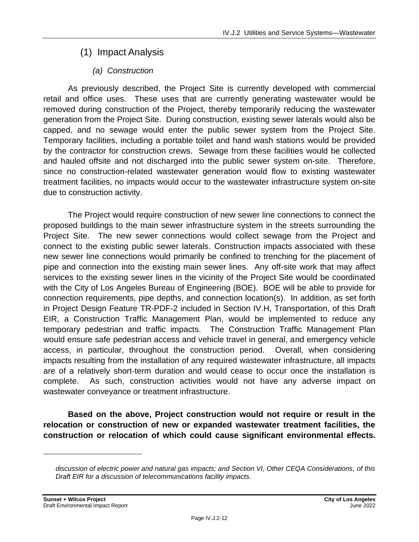# (1) Impact Analysis

# *(a) Construction*

As previously described, the Project Site is currently developed with commercial retail and office uses. These uses that are currently generating wastewater would be removed during construction of the Project, thereby temporarily reducing the wastewater generation from the Project Site. During construction, existing sewer laterals would also be capped, and no sewage would enter the public sewer system from the Project Site. Temporary facilities, including a portable toilet and hand wash stations would be provided by the contractor for construction crews. Sewage from these facilities would be collected and hauled offsite and not discharged into the public sewer system on-site. Therefore, since no construction-related wastewater generation would flow to existing wastewater treatment facilities, no impacts would occur to the wastewater infrastructure system on-site due to construction activity.

The Project would require construction of new sewer line connections to connect the proposed buildings to the main sewer infrastructure system in the streets surrounding the Project Site. The new sewer connections would collect sewage from the Project and connect to the existing public sewer laterals. Construction impacts associated with these new sewer line connections would primarily be confined to trenching for the placement of pipe and connection into the existing main sewer lines. Any off-site work that may affect services to the existing sewer lines in the vicinity of the Project Site would be coordinated with the City of Los Angeles Bureau of Engineering (BOE). BOE will be able to provide for connection requirements, pipe depths, and connection location(s). In addition, as set forth in Project Design Feature TR-PDF-2 included in Section IV.H, Transportation, of this Draft EIR, a Construction Traffic Management Plan, would be implemented to reduce any temporary pedestrian and traffic impacts. The Construction Traffic Management Plan would ensure safe pedestrian access and vehicle travel in general, and emergency vehicle access, in particular, throughout the construction period. Overall, when considering impacts resulting from the installation of any required wastewater infrastructure, all impacts are of a relatively short-term duration and would cease to occur once the installation is complete. As such, construction activities would not have any adverse impact on wastewater conveyance or treatment infrastructure.

**Based on the above, Project construction would not require or result in the relocation or construction of new or expanded wastewater treatment facilities, the construction or relocation of which could cause significant environmental effects.** 

*discussion of electric power and natural gas impacts; and Section VI, Other CEQA Considerations, of this Draft EIR for a discussion of telecommunications facility impacts.*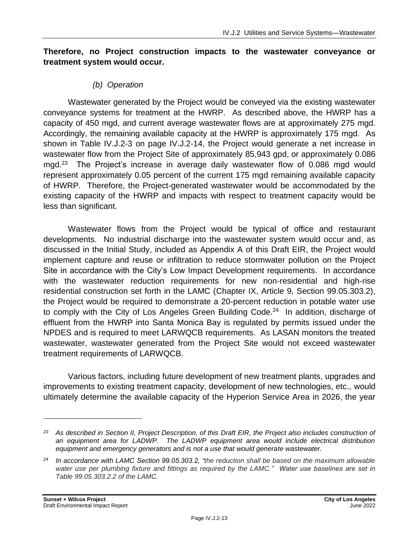#### **Therefore, no Project construction impacts to the wastewater conveyance or treatment system would occur.**

#### *(b) Operation*

Wastewater generated by the Project would be conveyed via the existing wastewater conveyance systems for treatment at the HWRP. As described above, the HWRP has a capacity of 450 mgd, and current average wastewater flows are at approximately 275 mgd. Accordingly, the remaining available capacity at the HWRP is approximately 175 mgd. As shown in Table IV.J.2-3 on page [IV.J.2-14,](#page-13-0) the Project would generate a net increase in wastewater flow from the Project Site of approximately 85,943 gpd, or approximately 0.086 mgd.<sup>23</sup> The Project's increase in average daily wastewater flow of 0.086 mgd would represent approximately 0.05 percent of the current 175 mgd remaining available capacity of HWRP. Therefore, the Project-generated wastewater would be accommodated by the existing capacity of the HWRP and impacts with respect to treatment capacity would be less than significant.

Wastewater flows from the Project would be typical of office and restaurant developments. No industrial discharge into the wastewater system would occur and, as discussed in the Initial Study, included as Appendix A of this Draft EIR, the Project would implement capture and reuse or infiltration to reduce stormwater pollution on the Project Site in accordance with the City's Low Impact Development requirements. In accordance with the wastewater reduction requirements for new non-residential and high-rise residential construction set forth in the LAMC (Chapter IX, Article 9, Section 99.05.303.2), the Project would be required to demonstrate a 20-percent reduction in potable water use to comply with the City of Los Angeles Green Building Code.<sup>24</sup> In addition, discharge of effluent from the HWRP into Santa Monica Bay is regulated by permits issued under the NPDES and is required to meet LARWQCB requirements. As LASAN monitors the treated wastewater, wastewater generated from the Project Site would not exceed wastewater treatment requirements of LARWQCB.

Various factors, including future development of new treatment plants, upgrades and improvements to existing treatment capacity, development of new technologies, etc., would ultimately determine the available capacity of the Hyperion Service Area in 2026, the year

*<sup>23</sup> As described in Section II, Project Description, of this Draft EIR, the Project also includes construction of an equipment area for LADWP. The LADWP equipment area would include electrical distribution equipment and emergency generators and is not a use that would generate wastewater.*

*<sup>24</sup> In accordance with LAMC Section 99.05.303.2, "the reduction shall be based on the maximum allowable water use per plumbing fixture and fittings as required by the LAMC." Water use baselines are set in Table 99.05.303.2.2 of the LAMC.*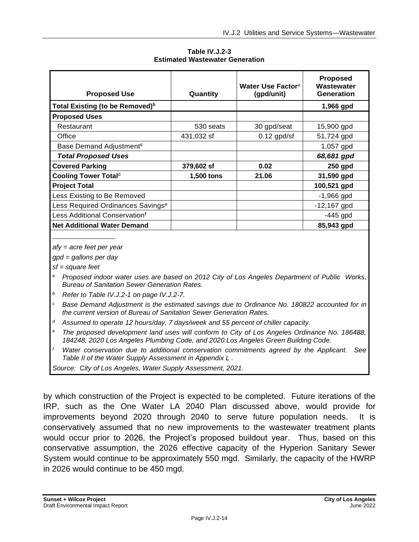<span id="page-13-0"></span>

| <b>Proposed Use</b>                           | Quantity   | Water Use Factor <sup>a</sup><br>(gpd/unit) | <b>Proposed</b><br>Wastewater<br>Generation |
|-----------------------------------------------|------------|---------------------------------------------|---------------------------------------------|
| Total Existing (to be Removed) <sup>b</sup>   |            |                                             | 1,966 gpd                                   |
| <b>Proposed Uses</b>                          |            |                                             |                                             |
| Restaurant                                    | 530 seats  | 30 gpd/seat                                 | 15,900 gpd                                  |
| Office                                        | 431,032 sf | $0.12$ gpd/sf                               | 51,724 gpd                                  |
| Base Demand Adjustment <sup>c</sup>           |            |                                             | 1,057 gpd                                   |
| <b>Total Proposed Uses</b>                    |            |                                             | 68,681 gpd                                  |
| <b>Covered Parking</b>                        | 379,602 sf | 0.02                                        | 250 gpd                                     |
| Cooling Tower Total <sup>d</sup>              | 1,500 tons | 21.06                                       | 31,590 gpd                                  |
| <b>Project Total</b>                          |            |                                             | 100,521 gpd                                 |
| Less Existing to Be Removed                   |            |                                             | $-1,966$ gpd                                |
| Less Required Ordinances Savings <sup>e</sup> |            |                                             | $-12,167$ gpd                               |
| Less Additional Conservation <sup>f</sup>     |            |                                             | $-445$ gpd                                  |
| <b>Net Additional Water Demand</b>            |            |                                             | 85,943 gpd                                  |

**Table IV.J.2-3 Estimated Wastewater Generation**

*afy = acre feet per year*

*gpd = gallons per day*

*sf = square feet*

- *<sup>a</sup> Proposed indoor water uses are based on 2012 City of Los Angeles Department of Public Works, Bureau of Sanitation Sewer Generation Rates.*
- *<sup>b</sup> Refer to Table IV.J.2-1 on page IV.J.2-7.*
- *<sup>c</sup> Base Demand Adjustment is the estimated savings due to Ordinance No. 180822 accounted for in the current version of Bureau of Sanitation Sewer Generation Rates.*
- *<sup>d</sup> Assumed to operate 12 hours/day, 7 days/week and 55 percent of chiller capacity.*
- *<sup>e</sup> The proposed development land uses will conform to City of Los Angeles Ordinance No. 186488, 184248, 2020 Los Angeles Plumbing Code, and 2020 Los Angeles Green Building Code.*
- *<sup>f</sup> Water conservation due to additional conservation commitments agreed by the Applicant. See Table II of the Water Supply Assessment in Appendix L .*

*Source: City of Los Angeles, Water Supply Assessment, 2021.*

by which construction of the Project is expected to be completed. Future iterations of the IRP, such as the One Water LA 2040 Plan discussed above, would provide for improvements beyond 2020 through 2040 to serve future population needs. It is conservatively assumed that no new improvements to the wastewater treatment plants would occur prior to 2026, the Project's proposed buildout year. Thus, based on this conservative assumption, the 2026 effective capacity of the Hyperion Sanitary Sewer System would continue to be approximately 550 mgd. Similarly, the capacity of the HWRP in 2026 would continue to be 450 mgd.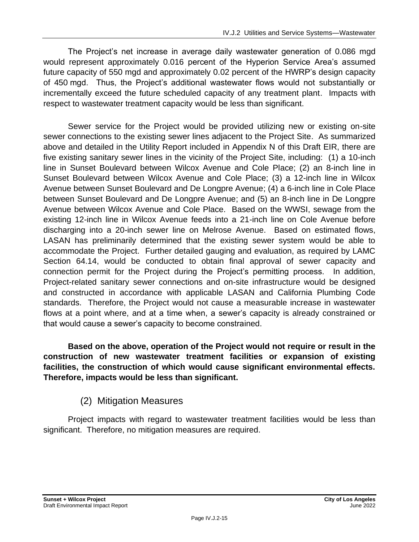The Project's net increase in average daily wastewater generation of 0.086 mgd would represent approximately 0.016 percent of the Hyperion Service Area's assumed future capacity of 550 mgd and approximately 0.02 percent of the HWRP's design capacity of 450 mgd. Thus, the Project's additional wastewater flows would not substantially or incrementally exceed the future scheduled capacity of any treatment plant. Impacts with respect to wastewater treatment capacity would be less than significant.

Sewer service for the Project would be provided utilizing new or existing on-site sewer connections to the existing sewer lines adjacent to the Project Site. As summarized above and detailed in the Utility Report included in Appendix N of this Draft EIR, there are five existing sanitary sewer lines in the vicinity of the Project Site, including: (1) a 10-inch line in Sunset Boulevard between Wilcox Avenue and Cole Place; (2) an 8-inch line in Sunset Boulevard between Wilcox Avenue and Cole Place; (3) a 12-inch line in Wilcox Avenue between Sunset Boulevard and De Longpre Avenue; (4) a 6-inch line in Cole Place between Sunset Boulevard and De Longpre Avenue; and (5) an 8-inch line in De Longpre Avenue between Wilcox Avenue and Cole Place. Based on the WWSI, sewage from the existing 12-inch line in Wilcox Avenue feeds into a 21-inch line on Cole Avenue before discharging into a 20-inch sewer line on Melrose Avenue. Based on estimated flows, LASAN has preliminarily determined that the existing sewer system would be able to accommodate the Project. Further detailed gauging and evaluation, as required by LAMC Section 64.14, would be conducted to obtain final approval of sewer capacity and connection permit for the Project during the Project's permitting process. In addition, Project-related sanitary sewer connections and on-site infrastructure would be designed and constructed in accordance with applicable LASAN and California Plumbing Code standards. Therefore, the Project would not cause a measurable increase in wastewater flows at a point where, and at a time when, a sewer's capacity is already constrained or that would cause a sewer's capacity to become constrained.

**Based on the above, operation of the Project would not require or result in the construction of new wastewater treatment facilities or expansion of existing facilities, the construction of which would cause significant environmental effects. Therefore, impacts would be less than significant.**

# (2) Mitigation Measures

Project impacts with regard to wastewater treatment facilities would be less than significant. Therefore, no mitigation measures are required.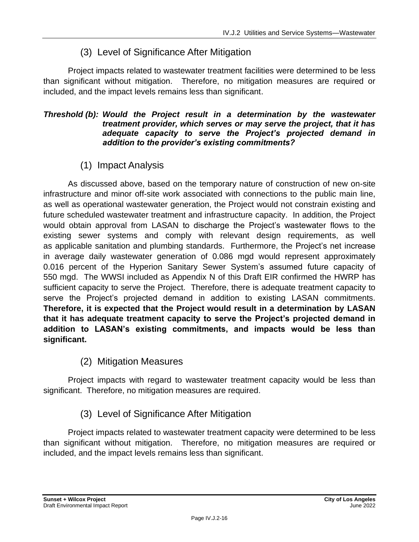# (3) Level of Significance After Mitigation

Project impacts related to wastewater treatment facilities were determined to be less than significant without mitigation. Therefore, no mitigation measures are required or included, and the impact levels remains less than significant.

#### *Threshold (b): Would the Project result in a determination by the wastewater treatment provider, which serves or may serve the project, that it has adequate capacity to serve the Project's projected demand in addition to the provider's existing commitments?*

# (1) Impact Analysis

As discussed above, based on the temporary nature of construction of new on-site infrastructure and minor off-site work associated with connections to the public main line, as well as operational wastewater generation, the Project would not constrain existing and future scheduled wastewater treatment and infrastructure capacity. In addition, the Project would obtain approval from LASAN to discharge the Project's wastewater flows to the existing sewer systems and comply with relevant design requirements, as well as applicable sanitation and plumbing standards. Furthermore, the Project's net increase in average daily wastewater generation of 0.086 mgd would represent approximately 0.016 percent of the Hyperion Sanitary Sewer System's assumed future capacity of 550 mgd. The WWSI included as Appendix N of this Draft EIR confirmed the HWRP has sufficient capacity to serve the Project. Therefore, there is adequate treatment capacity to serve the Project's projected demand in addition to existing LASAN commitments. **Therefore, it is expected that the Project would result in a determination by LASAN that it has adequate treatment capacity to serve the Project's projected demand in addition to LASAN's existing commitments, and impacts would be less than significant.**

(2) Mitigation Measures

Project impacts with regard to wastewater treatment capacity would be less than significant. Therefore, no mitigation measures are required.

# (3) Level of Significance After Mitigation

Project impacts related to wastewater treatment capacity were determined to be less than significant without mitigation. Therefore, no mitigation measures are required or included, and the impact levels remains less than significant.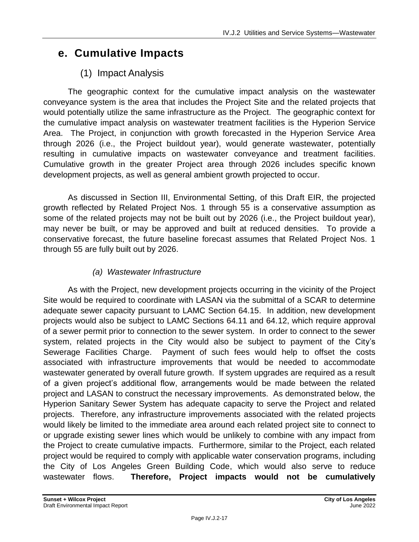# **e. Cumulative Impacts**

# (1) Impact Analysis

The geographic context for the cumulative impact analysis on the wastewater conveyance system is the area that includes the Project Site and the related projects that would potentially utilize the same infrastructure as the Project. The geographic context for the cumulative impact analysis on wastewater treatment facilities is the Hyperion Service Area. The Project, in conjunction with growth forecasted in the Hyperion Service Area through 2026 (i.e., the Project buildout year), would generate wastewater, potentially resulting in cumulative impacts on wastewater conveyance and treatment facilities. Cumulative growth in the greater Project area through 2026 includes specific known development projects, as well as general ambient growth projected to occur.

As discussed in Section III, Environmental Setting, of this Draft EIR, the projected growth reflected by Related Project Nos. 1 through 55 is a conservative assumption as some of the related projects may not be built out by 2026 (i.e., the Project buildout year), may never be built, or may be approved and built at reduced densities. To provide a conservative forecast, the future baseline forecast assumes that Related Project Nos. 1 through 55 are fully built out by 2026.

## *(a) Wastewater Infrastructure*

As with the Project, new development projects occurring in the vicinity of the Project Site would be required to coordinate with LASAN via the submittal of a SCAR to determine adequate sewer capacity pursuant to LAMC Section 64.15. In addition, new development projects would also be subject to LAMC Sections 64.11 and 64.12, which require approval of a sewer permit prior to connection to the sewer system. In order to connect to the sewer system, related projects in the City would also be subject to payment of the City's Sewerage Facilities Charge. Payment of such fees would help to offset the costs associated with infrastructure improvements that would be needed to accommodate wastewater generated by overall future growth. If system upgrades are required as a result of a given project's additional flow, arrangements would be made between the related project and LASAN to construct the necessary improvements. As demonstrated below, the Hyperion Sanitary Sewer System has adequate capacity to serve the Project and related projects. Therefore, any infrastructure improvements associated with the related projects would likely be limited to the immediate area around each related project site to connect to or upgrade existing sewer lines which would be unlikely to combine with any impact from the Project to create cumulative impacts. Furthermore, similar to the Project, each related project would be required to comply with applicable water conservation programs, including the City of Los Angeles Green Building Code, which would also serve to reduce wastewater flows. **Therefore, Project impacts would not be cumulatively**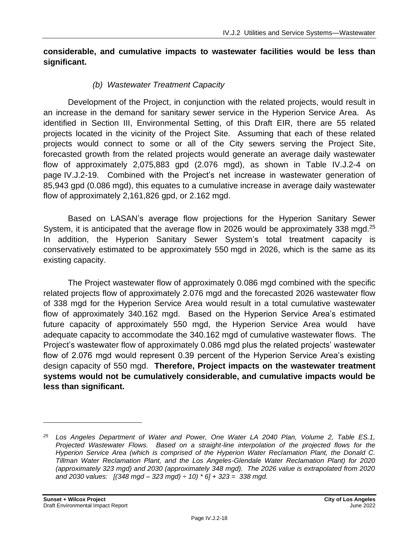#### **considerable, and cumulative impacts to wastewater facilities would be less than significant.**

#### *(b) Wastewater Treatment Capacity*

Development of the Project, in conjunction with the related projects, would result in an increase in the demand for sanitary sewer service in the Hyperion Service Area. As identified in Section III, Environmental Setting, of this Draft EIR, there are 55 related projects located in the vicinity of the Project Site. Assuming that each of these related projects would connect to some or all of the City sewers serving the Project Site, forecasted growth from the related projects would generate an average daily wastewater flow of approximately 2,075,883 gpd (2.076 mgd), as shown in Table IV.J.2-4 on page [IV.J.2-19.](#page-18-0) Combined with the Project's net increase in wastewater generation of 85,943 gpd (0.086 mgd), this equates to a cumulative increase in average daily wastewater flow of approximately 2,161,826 gpd, or 2.162 mgd.

Based on LASAN's average flow projections for the Hyperion Sanitary Sewer System, it is anticipated that the average flow in 2026 would be approximately 338 mgd.<sup>25</sup> In addition, the Hyperion Sanitary Sewer System's total treatment capacity is conservatively estimated to be approximately 550 mgd in 2026, which is the same as its existing capacity.

The Project wastewater flow of approximately 0.086 mgd combined with the specific related projects flow of approximately 2.076 mgd and the forecasted 2026 wastewater flow of 338 mgd for the Hyperion Service Area would result in a total cumulative wastewater flow of approximately 340.162 mgd. Based on the Hyperion Service Area's estimated future capacity of approximately 550 mgd, the Hyperion Service Area would have adequate capacity to accommodate the 340.162 mgd of cumulative wastewater flows. The Project's wastewater flow of approximately 0.086 mgd plus the related projects' wastewater flow of 2.076 mgd would represent 0.39 percent of the Hyperion Service Area's existing design capacity of 550 mgd. **Therefore, Project impacts on the wastewater treatment systems would not be cumulatively considerable, and cumulative impacts would be less than significant.**

*<sup>25</sup> Los Angeles Department of Water and Power, One Water LA 2040 Plan, Volume 2, Table ES.1, Projected Wastewater Flows. Based on a straight-line interpolation of the projected flows for the Hyperion Service Area (which is comprised of the Hyperion Water Reclamation Plant, the Donald C. Tillman Water Reclamation Plant, and the Los Angeles-Glendale Water Reclamation Plant) for 2020 (approximately 323 mgd) and 2030 (approximately 348 mgd). The 2026 value is extrapolated from 2020 and 2030 values: [(348 mgd – 323 mgd) ÷ 10) \* 6] + 323 = 338 mgd.*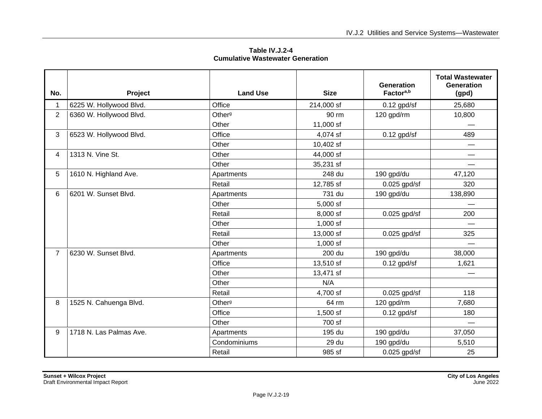**Table IV.J.2-4 Cumulative Wastewater Generation**

<span id="page-18-0"></span>

| No.            | Project                 | <b>Land Use</b>    | <b>Size</b> | <b>Generation</b><br>Factora,b | <b>Total Wastewater</b><br>Generation<br>(gpd) |
|----------------|-------------------------|--------------------|-------------|--------------------------------|------------------------------------------------|
| $\mathbf 1$    | 6225 W. Hollywood Blvd. | Office             | 214,000 sf  | $0.12$ gpd/sf                  | 25,680                                         |
| $\overline{2}$ | 6360 W. Hollywood Blvd. | Other <sup>g</sup> | 90 rm       | 120 gpd/rm                     | 10,800                                         |
|                |                         | Other              | 11,000 sf   |                                |                                                |
| 3              | 6523 W. Hollywood Blvd. | Office             | 4,074 sf    | $0.12$ gpd/sf                  | 489                                            |
|                |                         | Other              | 10,402 sf   |                                |                                                |
| 4              | 1313 N. Vine St.        | Other              | 44,000 sf   |                                |                                                |
|                |                         | Other              | 35,231 sf   |                                |                                                |
| 5              | 1610 N. Highland Ave.   | Apartments         | 248 du      | 190 gpd/du                     | 47,120                                         |
|                |                         | Retail             | 12,785 sf   | $0.025$ gpd/sf                 | 320                                            |
| 6              | 6201 W. Sunset Blvd.    | Apartments         | 731 du      | 190 gpd/du                     | 138,890                                        |
|                |                         | Other              | $5,000$ sf  |                                |                                                |
|                |                         | Retail             | 8,000 sf    | $0.025$ gpd/sf                 | 200                                            |
|                |                         | Other              | $1,000$ sf  |                                |                                                |
|                |                         | Retail             | 13,000 sf   | $0.025$ gpd/sf                 | 325                                            |
|                |                         | Other              | $1,000$ sf  |                                |                                                |
| $\overline{7}$ | 6230 W. Sunset Blvd.    | Apartments         | 200 du      | 190 gpd/du                     | 38,000                                         |
|                |                         | Office             | 13,510 sf   | $0.12$ gpd/sf                  | 1,621                                          |
|                |                         | Other              | 13,471 sf   |                                |                                                |
|                |                         | Other              | N/A         |                                |                                                |
|                |                         | Retail             | 4,700 sf    | $0.025$ gpd/sf                 | 118                                            |
| 8              | 1525 N. Cahuenga Blvd.  | Other <sup>g</sup> | 64 rm       | 120 gpd/rm                     | 7,680                                          |
|                |                         | Office             | $1,500$ sf  | $0.12$ gpd/sf                  | 180                                            |
|                |                         | Other              | 700 sf      |                                |                                                |
| 9              | 1718 N. Las Palmas Ave. | Apartments         | 195 du      | 190 gpd/du                     | 37,050                                         |
|                |                         | Condominiums       | 29 du       | 190 gpd/du                     | 5,510                                          |
|                |                         | Retail             | 985 sf      | $0.025$ gpd/sf                 | 25                                             |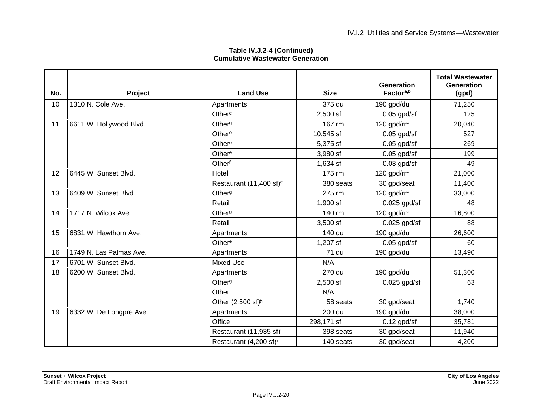| No. | Project                 | <b>Land Use</b>                     | <b>Size</b> | Generation<br>Factor <sup>a,b</sup> | <b>Total Wastewater</b><br><b>Generation</b><br>(gpd) |
|-----|-------------------------|-------------------------------------|-------------|-------------------------------------|-------------------------------------------------------|
| 10  | 1310 N. Cole Ave.       | Apartments                          | 375 du      | 190 gpd/du                          | 71,250                                                |
|     |                         | Other <sup>e</sup>                  | $2,500$ sf  | $0.05$ gpd/sf                       | 125                                                   |
| 11  | 6611 W. Hollywood Blvd. | Other <sup>g</sup>                  | 167 rm      | 120 gpd/rm                          | 20,040                                                |
|     |                         | Other <sup>e</sup>                  | 10,545 sf   | $0.05$ gpd/sf                       | 527                                                   |
|     |                         | Other <sup>e</sup>                  | 5,375 sf    | $0.05$ gpd/sf                       | 269                                                   |
|     |                         | Other <sup>e</sup>                  | 3,980 sf    | $0.05$ gpd/sf                       | 199                                                   |
|     |                         | Otherf                              | 1,634 sf    | $0.03$ gpd/sf                       | 49                                                    |
| 12  | 6445 W. Sunset Blvd.    | Hotel                               | 175 rm      | 120 gpd/rm                          | 21,000                                                |
|     |                         | Restaurant (11,400 sf) <sup>c</sup> | 380 seats   | 30 gpd/seat                         | 11,400                                                |
| 13  | 6409 W. Sunset Blvd.    | Other <sup>g</sup>                  | 275 rm      | 120 gpd/rm                          | 33,000                                                |
|     |                         | Retail                              | 1,900 sf    | $0.025$ gpd/sf                      | 48                                                    |
| 14  | 1717 N. Wilcox Ave.     | Other <sup>g</sup>                  | 140 rm      | 120 gpd/rm                          | 16,800                                                |
|     |                         | Retail                              | $3,500$ sf  | $0.025$ gpd/sf                      | 88                                                    |
| 15  | 6831 W. Hawthorn Ave.   | Apartments                          | 140 du      | 190 gpd/du                          | 26,600                                                |
|     |                         | Other <sup>e</sup>                  | 1,207 sf    | $0.05$ gpd/sf                       | 60                                                    |
| 16  | 1749 N. Las Palmas Ave. | Apartments                          | 71 du       | 190 gpd/du                          | 13,490                                                |
| 17  | 6701 W. Sunset Blvd.    | <b>Mixed Use</b>                    | N/A         |                                     |                                                       |
| 18  | 6200 W. Sunset Blvd.    | Apartments                          | 270 du      | 190 gpd/du                          | 51,300                                                |
|     |                         | Other <sup>g</sup>                  | $2,500$ sf  | $0.025$ gpd/sf                      | 63                                                    |
|     |                         | Other                               | N/A         |                                     |                                                       |
|     |                         | Other $(2,500 \text{ sfp})$         | 58 seats    | 30 gpd/seat                         | 1,740                                                 |
| 19  | 6332 W. De Longpre Ave. | Apartments                          | 200 du      | 190 gpd/du                          | 38,000                                                |
|     |                         | Office                              | 298,171 sf  | $0.12$ gpd/sf                       | 35,781                                                |
|     |                         | Restaurant (11,935 sf)              | 398 seats   | 30 gpd/seat                         | 11,940                                                |
|     |                         | Restaurant (4,200 sf)               | 140 seats   | 30 gpd/seat                         | 4,200                                                 |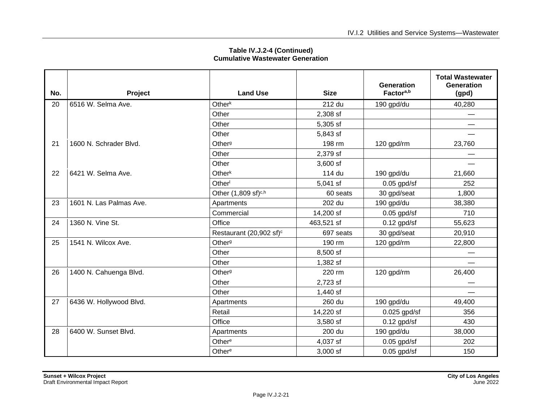| No. | Project                 | <b>Land Use</b>                     | <b>Size</b> | <b>Generation</b><br>Factora,b | <b>Total Wastewater</b><br><b>Generation</b><br>(gpd) |
|-----|-------------------------|-------------------------------------|-------------|--------------------------------|-------------------------------------------------------|
| 20  | 6516 W. Selma Ave.      | Other <sup>k</sup>                  | 212 du      | 190 gpd/du                     | 40,280                                                |
|     |                         | Other                               | 2,308 sf    |                                |                                                       |
|     |                         | Other                               | 5,305 sf    |                                |                                                       |
|     |                         | Other                               | 5,843 sf    |                                |                                                       |
| 21  | 1600 N. Schrader Blvd.  | Other <sup>g</sup>                  | 198 rm      | 120 gpd/rm                     | 23,760                                                |
|     |                         | Other                               | 2,379 sf    |                                |                                                       |
|     |                         | Other                               | $3,600$ sf  |                                |                                                       |
| 22  | 6421 W. Selma Ave.      | Other <sup>k</sup>                  | 114 du      | 190 gpd/du                     | 21,660                                                |
|     |                         | Other <sup>l</sup>                  | $5,041$ sf  | $0.05$ gpd/sf                  | 252                                                   |
|     |                         | Other (1,809 sf) <sup>c,h</sup>     | 60 seats    | 30 gpd/seat                    | 1,800                                                 |
| 23  | 1601 N. Las Palmas Ave. | Apartments                          | 202 du      | 190 gpd/du                     | 38,380                                                |
|     |                         | Commercial                          | 14,200 sf   | $0.05$ gpd/sf                  | 710                                                   |
| 24  | 1360 N. Vine St.        | Office                              | 463,521 sf  | $0.12$ gpd/sf                  | 55,623                                                |
|     |                         | Restaurant (20,902 sf) <sup>c</sup> | 697 seats   | 30 gpd/seat                    | 20,910                                                |
| 25  | 1541 N. Wilcox Ave.     | Other <sup>g</sup>                  | 190 rm      | 120 gpd/rm                     | 22,800                                                |
|     |                         | Other                               | 8,500 sf    |                                |                                                       |
|     |                         | Other                               | 1,382 sf    |                                |                                                       |
| 26  | 1400 N. Cahuenga Blvd.  | Other <sup>g</sup>                  | 220 rm      | 120 gpd/rm                     | 26,400                                                |
|     |                         | Other                               | 2,723 sf    |                                |                                                       |
|     |                         | Other                               | 1,440 sf    |                                |                                                       |
| 27  | 6436 W. Hollywood Blvd. | Apartments                          | 260 du      | 190 gpd/du                     | 49,400                                                |
|     |                         | Retail                              | 14,220 sf   | $0.025$ gpd/sf                 | 356                                                   |
|     |                         | Office                              | 3,580 sf    | $0.12$ gpd/sf                  | 430                                                   |
| 28  | 6400 W. Sunset Blvd.    | Apartments                          | 200 du      | 190 gpd/du                     | 38,000                                                |
|     |                         | Other <sup>e</sup>                  | 4,037 sf    | $0.05$ gpd/sf                  | 202                                                   |
|     |                         | Other <sup>e</sup>                  | 3,000 sf    | $0.05$ gpd/sf                  | 150                                                   |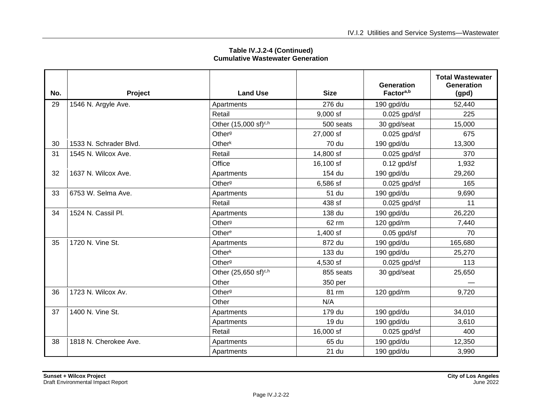| No. | Project                | <b>Land Use</b>                  | <b>Size</b> | Generation<br>Factor <sup>a,b</sup> | <b>Total Wastewater</b><br><b>Generation</b><br>(gpd) |
|-----|------------------------|----------------------------------|-------------|-------------------------------------|-------------------------------------------------------|
| 29  | 1546 N. Argyle Ave.    | Apartments                       | 276 du      | 190 gpd/du                          | 52,440                                                |
|     |                        | Retail                           | $9,000$ sf  | $0.025$ gpd/sf                      | 225                                                   |
|     |                        | Other (15,000 sf) <sup>c,h</sup> | 500 seats   | 30 gpd/seat                         | 15,000                                                |
|     |                        | Other <sup>g</sup>               | 27,000 sf   | $0.025$ gpd/sf                      | 675                                                   |
| 30  | 1533 N. Schrader Blvd. | Other <sup>k</sup>               | 70 du       | 190 gpd/du                          | 13,300                                                |
| 31  | 1545 N. Wilcox Ave.    | Retail                           | 14,800 sf   | $0.025$ gpd/sf                      | 370                                                   |
|     |                        | Office                           | 16,100 sf   | $0.12$ gpd/sf                       | 1,932                                                 |
| 32  | 1637 N. Wilcox Ave.    | Apartments                       | 154 du      | 190 gpd/du                          | 29,260                                                |
|     |                        | Other <sup>g</sup>               | 6,586 sf    | $0.025$ gpd/sf                      | 165                                                   |
| 33  | 6753 W. Selma Ave.     | Apartments                       | 51 du       | 190 gpd/du                          | 9,690                                                 |
|     |                        | Retail                           | 438 sf      | $0.025$ gpd/sf                      | 11                                                    |
| 34  | 1524 N. Cassil Pl.     | Apartments                       | 138 du      | 190 gpd/du                          | 26,220                                                |
|     |                        | Other <sup>g</sup>               | 62 rm       | 120 gpd/rm                          | 7,440                                                 |
|     |                        | Other <sup>e</sup>               | $1,400$ sf  | $0.05$ gpd/sf                       | 70                                                    |
| 35  | 1720 N. Vine St.       | Apartments                       | 872 du      | 190 gpd/du                          | 165,680                                               |
|     |                        | Other <sup>k</sup>               | 133 du      | 190 gpd/du                          | 25,270                                                |
|     |                        | Other <sup>g</sup>               | 4,530 sf    | $0.025$ gpd/sf                      | 113                                                   |
|     |                        | Other (25,650 sf) <sup>c,h</sup> | 855 seats   | 30 gpd/seat                         | 25,650                                                |
|     |                        | Other                            | 350 per     |                                     |                                                       |
| 36  | 1723 N. Wilcox Av.     | Other <sup>g</sup>               | 81 rm       | 120 gpd/rm                          | 9,720                                                 |
|     |                        | Other                            | N/A         |                                     |                                                       |
| 37  | 1400 N. Vine St.       | Apartments                       | 179 du      | 190 gpd/du                          | 34,010                                                |
|     |                        | Apartments                       | 19 du       | 190 gpd/du                          | 3,610                                                 |
|     |                        | Retail                           | 16,000 sf   | $0.025$ gpd/sf                      | 400                                                   |
| 38  | 1818 N. Cherokee Ave.  | Apartments                       | 65 du       | 190 gpd/du                          | 12,350                                                |
|     |                        | Apartments                       | 21 du       | 190 gpd/du                          | 3,990                                                 |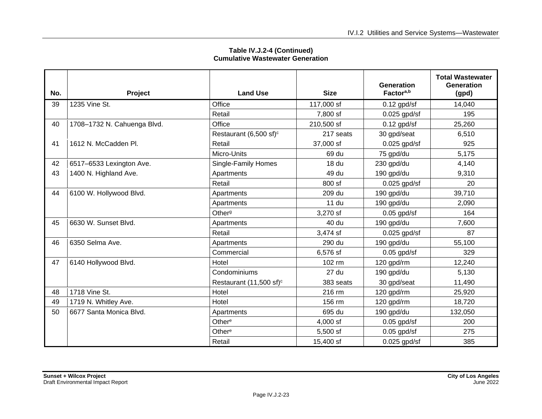| No. | Project                     | <b>Land Use</b>                     | <b>Size</b>  | Generation<br>Factora,b | <b>Total Wastewater</b><br><b>Generation</b><br>(gpd) |
|-----|-----------------------------|-------------------------------------|--------------|-------------------------|-------------------------------------------------------|
| 39  | 1235 Vine St.               | Office                              | 117,000 sf   | $0.12$ gpd/sf           | 14,040                                                |
|     |                             | Retail                              | 7,800 sf     | $0.025$ gpd/sf          | 195                                                   |
| 40  | 1708-1732 N. Cahuenga Blvd. | Office                              | 210,500 sf   | $0.12$ gpd/sf           | 25,260                                                |
|     |                             | Restaurant (6,500 sf) <sup>c</sup>  | 217 seats    | 30 gpd/seat             | 6,510                                                 |
| 41  | 1612 N. McCadden Pl.        | Retail                              | 37,000 sf    | $0.025$ gpd/sf          | 925                                                   |
|     |                             | Micro-Units                         | 69 du        | 75 gpd/du               | 5,175                                                 |
| 42  | 6517-6533 Lexington Ave.    | Single-Family Homes                 | 18 du        | 230 gpd/du              | 4,140                                                 |
| 43  | 1400 N. Highland Ave.       | Apartments                          | 49 du        | 190 gpd/du              | 9,310                                                 |
|     |                             | Retail                              | 800 sf       | $0.025$ gpd/sf          | 20                                                    |
| 44  | 6100 W. Hollywood Blvd.     | Apartments                          | 209 du       | 190 gpd/du              | 39,710                                                |
|     |                             | Apartments                          | <b>11 du</b> | 190 gpd/du              | 2,090                                                 |
|     |                             | Other <sup>g</sup>                  | 3,270 sf     | $0.05$ gpd/sf           | 164                                                   |
| 45  | 6630 W. Sunset Blvd.        | Apartments                          | 40 du        | 190 gpd/du              | 7,600                                                 |
|     |                             | Retail                              | 3,474 sf     | $0.025$ gpd/sf          | 87                                                    |
| 46  | 6350 Selma Ave.             | Apartments                          | 290 du       | 190 gpd/du              | 55,100                                                |
|     |                             | Commercial                          | 6,576 sf     | $0.05$ gpd/sf           | 329                                                   |
| 47  | 6140 Hollywood Blvd.        | Hotel                               | 102 rm       | 120 gpd/rm              | 12,240                                                |
|     |                             | Condominiums                        | 27 du        | 190 gpd/du              | 5,130                                                 |
|     |                             | Restaurant (11,500 sf) <sup>c</sup> | 383 seats    | 30 gpd/seat             | 11,490                                                |
| 48  | 1718 Vine St.               | Hotel                               | 216 rm       | 120 gpd/rm              | 25,920                                                |
| 49  | 1719 N. Whitley Ave.        | Hotel                               | 156 rm       | 120 gpd/rm              | 18,720                                                |
| 50  | 6677 Santa Monica Blvd.     | Apartments                          | 695 du       | 190 gpd/du              | 132,050                                               |
|     |                             | Other <sup>e</sup>                  | 4,000 sf     | $0.05$ gpd/sf           | 200                                                   |
|     |                             | Other <sup>e</sup>                  | 5,500 sf     | $0.05$ gpd/sf           | 275                                                   |
|     |                             | Retail                              | 15,400 sf    | $0.025$ gpd/sf          | 385                                                   |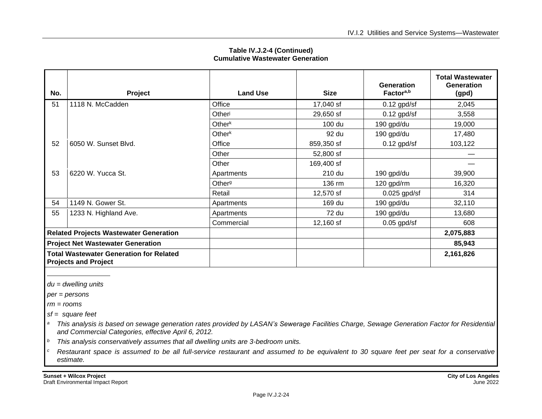| Table IV.J.2-4 (Continued)              |  |  |  |  |
|-----------------------------------------|--|--|--|--|
| <b>Cumulative Wastewater Generation</b> |  |  |  |  |

| No.                                                                           | Project               | <b>Land Use</b>    | <b>Size</b> | <b>Generation</b><br>Factor <sup>a,b</sup> | <b>Total Wastewater</b><br><b>Generation</b><br>(gpd) |
|-------------------------------------------------------------------------------|-----------------------|--------------------|-------------|--------------------------------------------|-------------------------------------------------------|
| 51                                                                            | 1118 N. McCadden      | Office             | 17,040 sf   | $0.12$ gpd/sf                              | 2,045                                                 |
|                                                                               |                       | Otheri             | 29,650 sf   | $0.12$ gpd/sf                              | 3,558                                                 |
|                                                                               |                       | Other $k$          | 100 du      | 190 gpd/du                                 | 19,000                                                |
|                                                                               |                       | Other $k$          | 92 du       | 190 gpd/du                                 | 17,480                                                |
| 52                                                                            | 6050 W. Sunset Blvd.  | Office             | 859,350 sf  | $0.12$ gpd/sf                              | 103,122                                               |
|                                                                               |                       | Other              | 52,800 sf   |                                            |                                                       |
|                                                                               |                       | Other              | 169,400 sf  |                                            |                                                       |
| 53                                                                            | 6220 W. Yucca St.     | Apartments         | 210 du      | 190 gpd/du                                 | 39,900                                                |
|                                                                               |                       | Other <sup>g</sup> | 136 rm      | 120 gpd/rm                                 | 16,320                                                |
|                                                                               |                       | Retail             | 12,570 sf   | $0.025$ gpd/sf                             | 314                                                   |
| 54                                                                            | 1149 N. Gower St.     | Apartments         | 169 du      | 190 gpd/du                                 | 32,110                                                |
| 55                                                                            | 1233 N. Highland Ave. | Apartments         | 72 du       | 190 gpd/du                                 | 13,680                                                |
|                                                                               |                       | Commercial         | 12,160 sf   | $0.05$ gpd/sf                              | 608                                                   |
| <b>Related Projects Wastewater Generation</b>                                 |                       |                    |             |                                            | 2,075,883                                             |
| <b>Project Net Wastewater Generation</b>                                      |                       |                    |             |                                            | 85,943                                                |
| <b>Total Wastewater Generation for Related</b><br><b>Projects and Project</b> |                       |                    |             |                                            | 2,161,826                                             |

*du = dwelling units*

*per = persons*

*rm = rooms*

*sf = square feet*

*<sup>a</sup> This analysis is based on sewage generation rates provided by LASAN's Sewerage Facilities Charge, Sewage Generation Factor for Residential and Commercial Categories, effective April 6, 2012.*

*<sup>b</sup> This analysis conservatively assumes that all dwelling units are 3-bedroom units.*

*<sup>c</sup> Restaurant space is assumed to be all full-service restaurant and assumed to be equivalent to 30 square feet per seat for a conservative estimate.*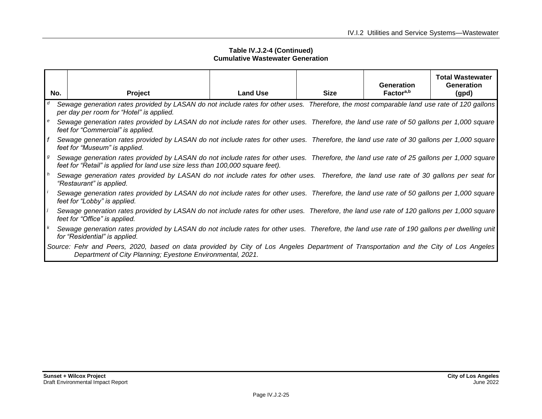|     |                                                                                                                                                                                                                              |                 |             | Generation<br>Factor <sup>a,b</sup> | <b>Total Wastewater</b><br>Generation |
|-----|------------------------------------------------------------------------------------------------------------------------------------------------------------------------------------------------------------------------------|-----------------|-------------|-------------------------------------|---------------------------------------|
| No. | Project                                                                                                                                                                                                                      | <b>Land Use</b> | <b>Size</b> |                                     | (gpd)                                 |
|     | Sewage generation rates provided by LASAN do not include rates for other uses. Therefore, the most comparable land use rate of 120 gallons<br>per day per room for "Hotel" is applied.                                       |                 |             |                                     |                                       |
| l e | Sewage generation rates provided by LASAN do not include rates for other uses. Therefore, the land use rate of 50 gallons per 1,000 square<br>feet for "Commercial" is applied.                                              |                 |             |                                     |                                       |
|     | Sewage generation rates provided by LASAN do not include rates for other uses. Therefore, the land use rate of 30 gallons per 1,000 square<br>feet for "Museum" is applied.                                                  |                 |             |                                     |                                       |
|     | Sewage generation rates provided by LASAN do not include rates for other uses. Therefore, the land use rate of 25 gallons per 1,000 square<br>feet for "Retail" is applied for land use size less than 100,000 square feet). |                 |             |                                     |                                       |
|     | Sewage generation rates provided by LASAN do not include rates for other uses. Therefore, the land use rate of 30 gallons per seat for<br>"Restaurant" is applied.                                                           |                 |             |                                     |                                       |
|     | Sewage generation rates provided by LASAN do not include rates for other uses. Therefore, the land use rate of 50 gallons per 1,000 square<br>feet for "Lobby" is applied.                                                   |                 |             |                                     |                                       |
|     | Sewage generation rates provided by LASAN do not include rates for other uses. Therefore, the land use rate of 120 gallons per 1,000 square<br>feet for "Office" is applied.                                                 |                 |             |                                     |                                       |
|     | Sewage generation rates provided by LASAN do not include rates for other uses. Therefore, the land use rate of 190 gallons per dwelling unit<br>for "Residential" is applied.                                                |                 |             |                                     |                                       |
|     | Source: Fehr and Peers, 2020, based on data provided by City of Los Angeles Department of Transportation and the City of Los Angeles<br>Department of City Planning; Eyestone Environmental, 2021.                           |                 |             |                                     |                                       |